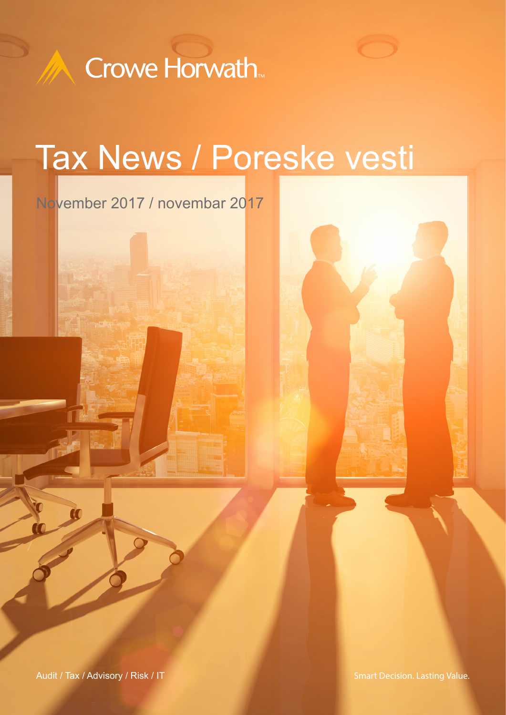

# Tax News / Poreske vesti

November 2017 / novembar 2017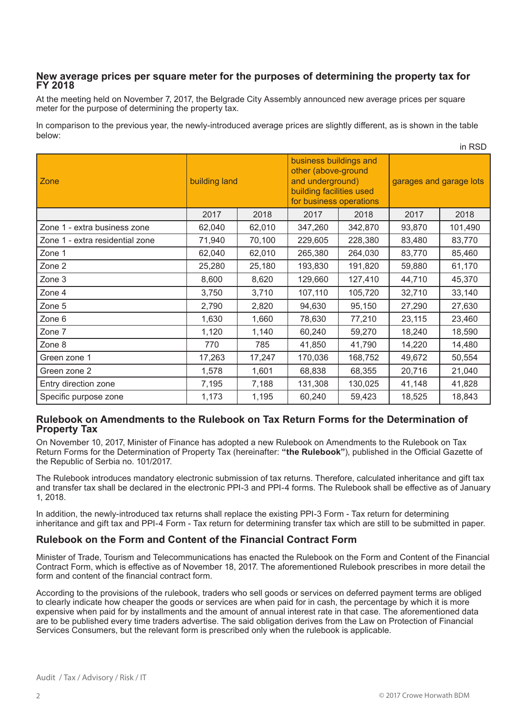### **New average prices per square meter for the purposes of determining the property tax for FY 2018**

At the meeting held on November 7, 2017, the Belgrade City Assembly announced new average prices per square meter for the purpose of determining the property tax.

In comparison to the previous year, the newly-introduced average prices are slightly different, as is shown in the table below:

| Zone                            | building land |        | business buildings and<br>other (above-ground<br>and underground)<br>building facilities used<br>for business operations |         | garages and garage lots |         |
|---------------------------------|---------------|--------|--------------------------------------------------------------------------------------------------------------------------|---------|-------------------------|---------|
|                                 | 2017          | 2018   | 2017                                                                                                                     | 2018    | 2017                    | 2018    |
| Zone 1 - extra business zone    | 62,040        | 62,010 | 347,260                                                                                                                  | 342,870 | 93,870                  | 101,490 |
| Zone 1 - extra residential zone | 71,940        | 70,100 | 229,605                                                                                                                  | 228,380 | 83,480                  | 83,770  |
| Zone 1                          | 62,040        | 62,010 | 265,380                                                                                                                  | 264,030 | 83,770                  | 85,460  |
| Zone 2                          | 25,280        | 25,180 | 193,830                                                                                                                  | 191,820 | 59,880                  | 61,170  |
| Zone 3                          | 8,600         | 8,620  | 129,660                                                                                                                  | 127,410 | 44,710                  | 45,370  |
| Zone 4                          | 3,750         | 3,710  | 107,110                                                                                                                  | 105,720 | 32,710                  | 33,140  |
| Zone 5                          | 2,790         | 2,820  | 94,630                                                                                                                   | 95,150  | 27,290                  | 27,630  |
| Zone 6                          | 1,630         | 1,660  | 78,630                                                                                                                   | 77,210  | 23,115                  | 23,460  |
| Zone 7                          | 1,120         | 1,140  | 60,240                                                                                                                   | 59,270  | 18,240                  | 18,590  |
| Zone 8                          | 770           | 785    | 41,850                                                                                                                   | 41,790  | 14,220                  | 14,480  |
| Green zone 1                    | 17,263        | 17,247 | 170,036                                                                                                                  | 168,752 | 49,672                  | 50,554  |
| Green zone 2                    | 1,578         | 1,601  | 68,838                                                                                                                   | 68,355  | 20,716                  | 21,040  |
| Entry direction zone            | 7,195         | 7,188  | 131,308                                                                                                                  | 130,025 | 41,148                  | 41,828  |
| Specific purpose zone           | 1,173         | 1,195  | 60,240                                                                                                                   | 59,423  | 18,525                  | 18,843  |

#### **Rulebook on Amendments to the Rulebook on Tax Return Forms for the Determination of Property Tax**

On November 10, 2017, Minister of Finance has adopted a new Rulebook on Amendments to the Rulebook on Tax Return Forms for the Determination of Property Tax (hereinafter: **"the Rulebook"**), published in the Official Gazette of the Republic of Serbia no. 101/2017.

The Rulebook introduces mandatory electronic submission of tax returns. Therefore, calculated inheritance and gift tax and transfer tax shall be declared in the electronic PPI-3 and PPI-4 forms. The Rulebook shall be effective as of January 1, 2018.

In addition, the newly-introduced tax returns shall replace the existing PPI-3 Form - Tax return for determining inheritance and gift tax and PPI-4 Form - Tax return for determining transfer tax which are still to be submitted in paper.

# **Rulebook on the Form and Content of the Financial Contract Form**

Minister of Trade, Tourism and Telecommunications has enacted the Rulebook on the Form and Content of the Financial Contract Form, which is effective as of November 18, 2017. The aforementioned Rulebook prescribes in more detail the form and content of the financial contract form.

According to the provisions of the rulebook, traders who sell goods or services on deferred payment terms are obliged to clearly indicate how cheaper the goods or services are when paid for in cash, the percentage by which it is more expensive when paid for by installments and the amount of annual interest rate in that case. The aforementioned data are to be published every time traders advertise. The said obligation derives from the Law on Protection of Financial Services Consumers, but the relevant form is prescribed only when the rulebook is applicable.

in RSD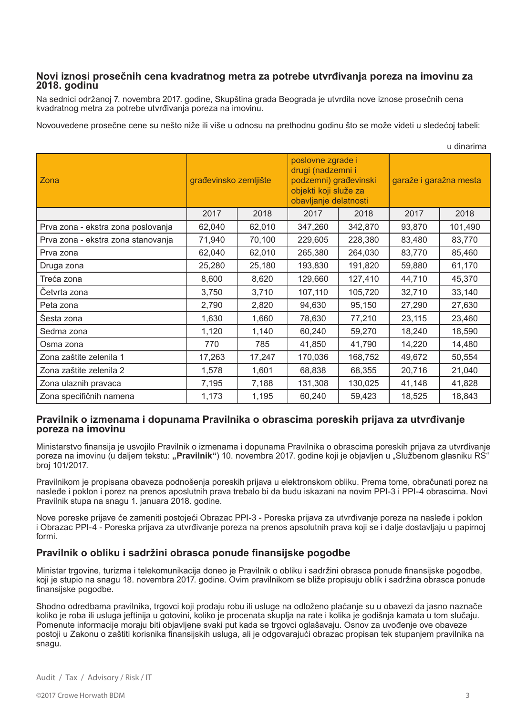#### **Novi iznosi prosečnih cena kvadratnog metra za potrebe utvrđivanja poreza na imovinu za 2018. godinu**

Na sednici održanoj 7. novembra 2017. godine, Skupština grada Beograda je utvrdila nove iznose prosečnih cena kvadratnog metra za potrebe utvrđivanja poreza na imovinu.

Novouvedene prosečne cene su nešto niže ili više u odnosu na prethodnu godinu što se može videti u sledećoj tabeli:

| u umanna                           |                       |        |                                                                                                                   |         |                        |         |  |  |  |  |  |
|------------------------------------|-----------------------|--------|-------------------------------------------------------------------------------------------------------------------|---------|------------------------|---------|--|--|--|--|--|
| Zona                               | građevinsko zemljište |        | poslovne zgrade i<br>drugi (nadzemni i<br>podzemni) građevinski<br>objekti koji služe za<br>obavljanje delatnosti |         | garaže i garažna mesta |         |  |  |  |  |  |
|                                    | 2017                  | 2018   | 2017                                                                                                              | 2018    | 2017                   | 2018    |  |  |  |  |  |
| Prva zona - ekstra zona poslovanja | 62,040                | 62,010 | 347,260                                                                                                           | 342,870 | 93,870                 | 101,490 |  |  |  |  |  |
| Prva zona - ekstra zona stanovanja | 71,940                | 70,100 | 229,605                                                                                                           | 228,380 | 83,480                 | 83,770  |  |  |  |  |  |
| Prva zona                          | 62,040                | 62,010 | 265,380                                                                                                           | 264,030 | 83,770                 | 85,460  |  |  |  |  |  |
| Druga zona                         | 25,280                | 25,180 | 193,830                                                                                                           | 191,820 | 59,880                 | 61,170  |  |  |  |  |  |
| Treća zona                         | 8,600                 | 8,620  | 129,660                                                                                                           | 127,410 | 44,710                 | 45,370  |  |  |  |  |  |
| Četvrta zona                       | 3,750                 | 3,710  | 107,110                                                                                                           | 105,720 | 32,710                 | 33,140  |  |  |  |  |  |
| Peta zona                          | 2,790                 | 2,820  | 94,630                                                                                                            | 95,150  | 27,290                 | 27,630  |  |  |  |  |  |
| Šesta zona                         | 1,630                 | 1,660  | 78,630                                                                                                            | 77,210  | 23,115                 | 23,460  |  |  |  |  |  |
| Sedma zona                         | 1,120                 | 1,140  | 60,240                                                                                                            | 59,270  | 18,240                 | 18,590  |  |  |  |  |  |
| Osma zona                          | 770                   | 785    | 41,850                                                                                                            | 41,790  | 14,220                 | 14,480  |  |  |  |  |  |
| Zona zaštite zelenila 1            | 17,263                | 17,247 | 170,036                                                                                                           | 168,752 | 49,672                 | 50,554  |  |  |  |  |  |
| Zona zaštite zelenila 2            | 1,578                 | 1,601  | 68,838                                                                                                            | 68,355  | 20,716                 | 21,040  |  |  |  |  |  |
| Zona ulaznih pravaca               | 7,195                 | 7,188  | 131,308                                                                                                           | 130,025 | 41,148                 | 41,828  |  |  |  |  |  |
| Zona specifičnih namena            | 1,173                 | 1,195  | 60,240                                                                                                            | 59,423  | 18,525                 | 18,843  |  |  |  |  |  |

#### **Pravilnik o izmenama i dopunama Pravilnika o obrascima poreskih prijava za utvrđivanje poreza na imovinu**

Ministarstvo finansija je usvojilo Pravilnik o izmenama i dopunama Pravilnika o obrascima poreskih prijava za utvrđivanje poreza na imovinu (u daljem tekstu: "Pravilnik") 10. novembra 2017. godine koji je objavljen u "Službenom glasniku RS" broj 101/2017.

Pravilnikom je propisana obaveza podnošenja poreskih prijava u elektronskom obliku. Prema tome, obračunati porez na nasleđe i poklon i porez na prenos aposlutnih prava trebalo bi da budu iskazani na novim PPI-3 i PPI-4 obrascima. Novi Pravilnik stupa na snagu 1. januara 2018. godine.

Nove poreske prijave će zameniti postojeći Obrazac PPI-3 - Poreska prijava za utvrđivanje poreza na nasleđe i poklon i Obrazac PPI-4 - Poreska prijava za utvrđivanje poreza na prenos apsolutnih prava koji se i dalje dostavljaju u papirnoj formi.

# **Pravilnik o obliku i sadržini obrasca ponude finansijske pogodbe**

Ministar trgovine, turizma i telekomunikacija doneo je Pravilnik o obliku i sadržini obrasca ponude finansijske pogodbe, koji je stupio na snagu 18. novembra 2017. godine. Ovim pravilnikom se bliže propisuju oblik i sadržina obrasca ponude finansijske pogodbe.

Shodno odredbama pravilnika, trgovci koji prodaju robu ili usluge na odloženo plaćanje su u obavezi da jasno naznače koliko je roba ili usluga jeftinija u gotovini, koliko je procenata skuplja na rate i kolika je godišnja kamata u tom slučaju. Pomenute informacije moraju biti objavljene svaki put kada se trgovci oglašavaju. Osnov za uvođenje ove obaveze postoji u Zakonu o zaštiti korisnika finansijskih usluga, ali je odgovarajući obrazac propisan tek stupanjem pravilnika na snagu.

u dinarima